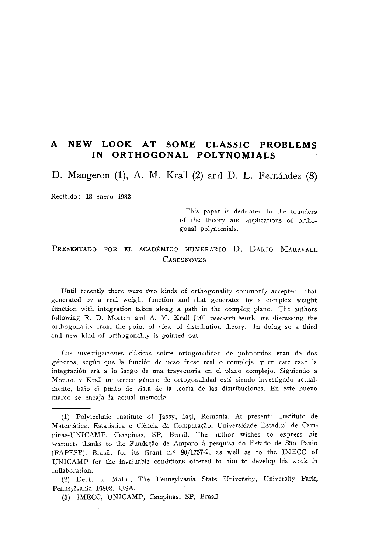# **A NEW LOOK AT SOME CLASSIC PROBLEMS IN ORTHOGONAL POLYNOMIALS**

D. Mangeron (1), A. M. Krall (2) and D. L. Fernández (3)

Recibido: 13 enero 1982

This paper is dedicated to the founders of the theory and applications of orthogonal polynomials.

# PRESENTADO POR EL ACADÉMICO NUMERARIO D. DARÍO MARAVALL **CASESNOVES**

Until recently there were two kinds of orthogonality commonly accepted : that generated by a real weight function and that generated by a complex weight function with integration taken along a path in the complex plane. The authors following R. D. Morton and A. M. Krall [10] research 'work are discussing the orthogonality from the point of view of distribution theory. In doing so a third and new kind of orthogonality is pointed out.

Las investigaciones clásicas sobre ortogonalidad de polinomios eran de dos géneros, según que la función de peso fuese real o compleja, y en este caso la integración era a lo largo de una trayectoria en el plano complejo. Siguiendo a Morton y Krall un tercer género de ortogonalidad está siendo investigado actualmente, bajo el punto de vista de la teoría de las distribuciones. En este nuevo marco se encaja la actual memoria.

(2) Dept. of Math., The Pennsylvania State University, University Park, Pennsylvania 16802, USA.

(3) IMECC, UNICAMP, Campinas, SP, Brasil.

<sup>(1)</sup> Polytechnic Institute of Jassy, lasi, Romania. At present : Instituto de Matemàtica, Estatística e Ciência da Computação. Universidade Estadual de Campinas-UNICAMP, Campinas, SP, Brasil. The author wishes to express his warmets thanks to the Fundação de Amparo à pesquisa do Estado de São Paulo (FAPESP), Brasil, for its Grant n.° 80/1757-2, as well as to the IMECC of UNICAMP for the invaluable conditions offered to him to develop his work ii collaboration.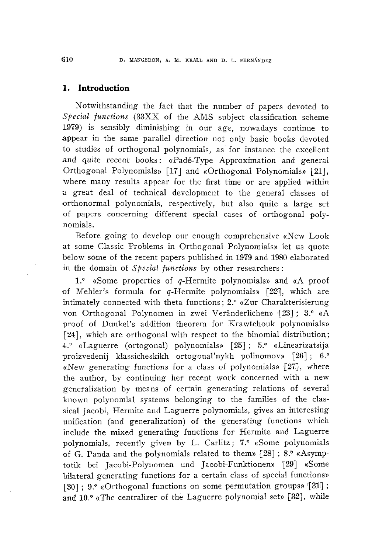## **1. Introduction**

Notwithstanding the fact that the number of papers devoted to *Special functions* (33XX of the AMS subject classification scheme 1979) is sensibly diminishing in our age, nowadays continue to appear in the same parallel direction not only basic books devoted to studies of orthogonal polynomials, as for instance the excellent and quite recent books: «Padé-Type Approximation and general Orthogonal Polynomials» [17] and «Orthogonal Polynomials» [21], where many results appear for the first time or are applied within a great deal of technical development to the general classes of orthonormal polynomials, respectively, but also quite a large set of papers concerning different special cases of orthogonal polynomials.

Before going to develop our enough comprehensive «New Look at some Classic Problems in Orthogonal Polynomials» let us quote below some of the recent papers published in 1979 and 1980 elaborated in the domain of *Special functions* by other researchers :

1. $\degree$  «Some properties of q-Hermite polynomials» and «A proof of Mehler's formula for g-Hermite polynomials» [22], which are intimately connected with theta functions ; 2.° «Zur Charakterisierung von Orthogonal Polynomen in zwei Veränderlichen» '[23] ; 3.° «A proof of Dunkel's addition theorem for Krawtchouk polynomials» [24], which are orthogonal with respect to the binomial distribution; 4.º «Laguerre (ortogonal) polynomials» [25]; 5.º «Linearizatsija proizvedenij klassicheskikh ortogonal'nykh polinomov» [26] ; 6.° «New generating functions for a class of polynomials»  $[27]$ , where the author, by continuing her recent work concerned with a new generalization by means of certain generating relations of several known polynomial systems belonging to the families of the classical Jacobí, Hermite and Laguerre polynomials, gives an interesting unification (and generalization) of the generating functions which include the mixed generating functions for Hermite and Laguerre polynomials, recently given by L. Carlitz ; 7.° «Some polynomials of G. Panda and the polynomials related to them»  $[28]$ ; 8. $\textdegree$  «Asymptotik bei Jacobi-Polynomen und Jacobi-Funktionen» [29] «Some bilateral generating functions for a certain class of special functions» [30]; 9.º «Orthogonal functions on some permutation groups» [31]; and 10." «The centralizer of the Laguerre polynomial set» [32], while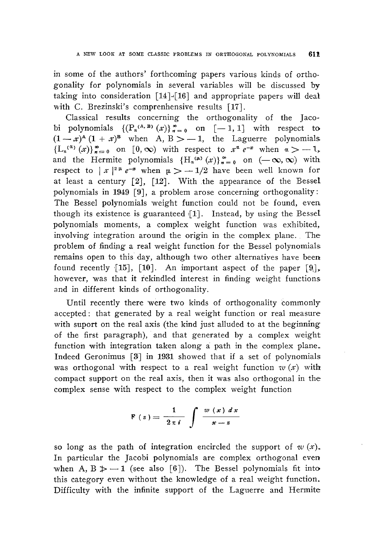in some of the authors' forthcoming papers various kinds of orthogonality for polynomials in several variables will be discussed by taking into consideration [14]-{16] and appropriate papers will deal with C. Brezinski's comprenhensive results [17].

Classical results concerning the orthogonality of the Jacobi polynomials  $\left\{ \left( P_n^{(A,B)}(x) \right)_{n=0}^{\infty} \text{ on } [-1,1] \right\}$  with respect to  $(1-x)^{A} (1 + x)^{B}$  when A, B > -1, the Laguerre polynomials  ${L_n}^{(\alpha)}(x)$ ,  $\sum_{n=0}^{\infty}$  on [0,  $\infty$ ) with respect to  $x^{\alpha} e^{-x}$  when  $\alpha > -1$ , and the Hermite polynomials  $\{H_n^{(\mu)}(x)\}_{n=0}^{\infty}$  on  $(-\infty,\infty)$  with respect to  $|x|^{2\mu} e^{-x}$  when  $\mu > -1/2$  have been well known for at least a century  $\lceil 2 \rceil$ ,  $\lceil 12 \rceil$ . With the appearance of the Bessel polynomials in 1949 [9], a problem arose concerning orthogonality: The Bessel polynomials weight function could not be found, even though its existence is guaranteed  $[1]$ . Instead, by using the Bessel polynomials moments, a complex weight function was exhibited, involving integration around the origin in the complex plane. The problem of finding a real weight function for the Bessel polynomials; remains open to this day, although two other alternatives have been found recently [15], [10]. An important aspect of the paper  $[9]$ , ho'wever, was that it rekindled interest in finding weight functions and in different kinds of orthogonality.

Until recently there 'were two kinds of orthogonality commonly accepted: that generated by a real weight function or real measure with suport on the real axis (the kind just alluded to at the beginning of the first paragraph), and that generated by a complex weight function with integration taken along a path in the complex plane. Indeed Geronimus [3] in 1931 showed that if a set of polynomials was orthogonal with respect to a real weight function  $w(x)$  with compact support on the real axis, then it was also orthogonal in the complex sense with respect to the complex weight function

$$
F(x) = \frac{1}{2\pi i} \int \frac{w(x) dx}{x - z}
$$

so long as the path of integration encircled the support of *w (x).* In particular the Jacobi polynomials are complex orthogonal even when A,  $B \ge -1$  (see also [6]). The Bessel polynomials fit into this category even without the knowledge of a real weight function. Difficulty with the infinite support of the Laguerre and Hermite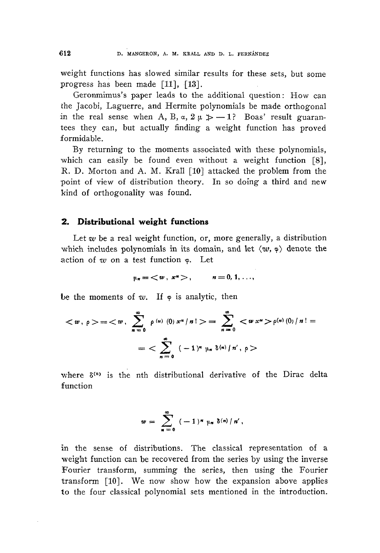weight functions has slowed similar results for these sets, but some progress has been made [11], [13].

Geronmimus's paper leads to the additional question : How can the Jacobí, Laguerre, and Hermite polynomials be made orthogonal in the real sense when A, B,  $\alpha$ ,  $2 \mu \not\gg -1$ ? Boas' result guarantees they can, but actually finding a weight function has proved formidable.

By returning to the moments associated with these polynomials, which can easily be found even without a weight function [8], R. D. Morton and A. M. Krall [10] attacked the problem from the point of view of distribution theory. In so doing a third and new kind of orthogonality was found.

#### **2. Distributional weight functions**

Let w be a real weight function, or, more generally, a distribution which includes polynomials in its domain, and let  $\langle w, \phi \rangle$  denote the action of  $w$  on a test function  $\infty$ . Let

$$
\mu_n = \langle w, x^n \rangle, \qquad n = 0, 1, \ldots,
$$

be the moments of  $w$ . If  $\varphi$  is analytic, then

$$
\langle w, \rho \rangle = \langle w, \sum_{n=0}^{\infty} \rho^{(u)}(0) x^{n} / n! \rangle = \sum_{n=0}^{\infty} \langle w x^{n} \rangle \rho^{(n)}(0) / n! =
$$
  
= 
$$
\sum_{n=0}^{\infty} (-1)^{n} \mu_{n} \delta^{(n)} / n', \rho >
$$

where  $\delta^{(n)}$  is the nth distributional derivative of the Dirac delta function

$$
w = \sum_{n=0}^{\infty} (-1)^n \mu_n \delta^{(n)} / n',
$$

in the sense of distributions. The classical representation of a weight function can be recovered from the series by using the inverse Fourier transform, summing the series, then using the Fourier transform [10]. We now show how the expansion above applies to the four classical polynomial sets mentioned in the introduction.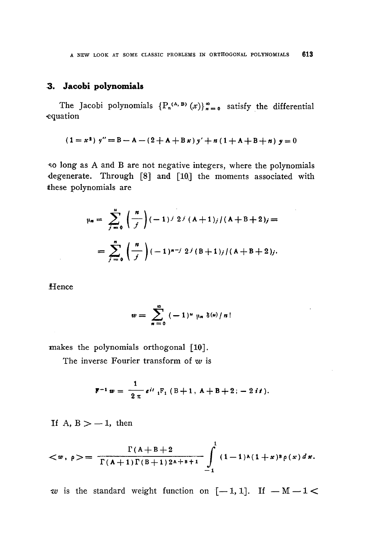## **3. Jacob! polynomials**

The Jacobi polynomials  $\{P_n^{(A, B)}(x)\}_{n=0}^{\infty}$  satisfy the differential •equation

$$
(1 = x2) y'' = B - A - (2 + A + B x) y' + n (1 + A + B + n) y = 0
$$

so long as A and B are not negative integers, where the polynomials degenerate. Through [8] and [10] the moments associated with these polynomials are

$$
\mu_n = \sum_{j=0}^n \binom{n}{j} (-1)^j 2^j (A+1)_j / (A+B+2)_j =
$$
  
= 
$$
\sum_{j=0}^n \binom{n}{j} (-1)^{n-j} 2^j (B+1)_j / (A+B+2)_j.
$$

**Hence** 

 $\sim 10^{-1}$ 

$$
w=\sum_{n=0}^{\infty}(-1)^n\mu_n\delta^{(u)}/n!
$$

makes the polynomials orthogonal [10].

The inverse Fourier transform of *w* is

$$
\mathbf{F}^{-1} w = \frac{1}{2 \pi} e^{it} {}_{1}F_{1} (B+1, A+B+2; -2 it).
$$

If A,  $B > -1$ , then

$$
\langle w, \rho \rangle = \frac{\Gamma(A+B+2)}{\Gamma(A+1)\Gamma(B+1)2^{A+B+1}} \int_{-1}^{1} (1-1)^{A}(1+x)^{B} \rho(x) dx.
$$

*w* is the standard weight function on  $[-1,1]$ . If  $-M-1$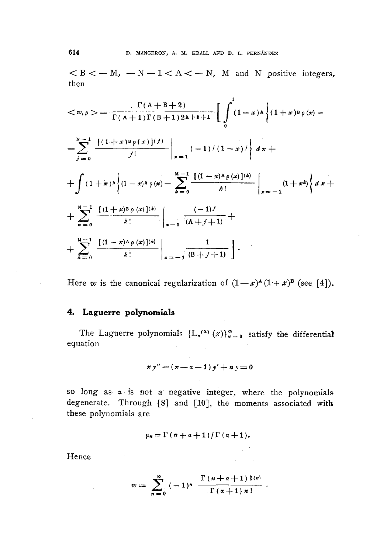$< B < -M$ ,  $- N - 1 < A < -N$ , M and N positive integers, then

$$
\langle w, \rho \rangle = \frac{\Gamma(A + B + 2)}{\Gamma(A + 1) \Gamma(B + 1) 2\lambda + B + 1} \left[ \int_{0}^{1} (1 - x)^{\lambda} \left\{ (1 + x)^{\beta} \rho(x) - \frac{x - 1}{j - 0} \frac{\left[ (1 + x)^{\beta} \rho(x) \right] (j)}{j!} \right\}_{x = 1} (-1)^{j} (1 - x)^{j} \right\} dx +
$$
  
+ 
$$
\int (1 + x)^{\beta} \left\{ (1 - x)^{\lambda} \rho(x) - \sum_{k=0}^{M-1} \frac{\left[ (1 - x)^{\lambda} \rho(x) \right] (k)}{k!} \right\}_{x = -1} (1 + x^{k}) \left\{ dx + \frac{x - 1}{n - 0} \frac{\left[ (1 + x)^{\beta} \rho(x) \right] (k)}{k!} \right\}_{x = -1} \frac{(-1)^{j}}{(A + j + 1)} +
$$
  
+ 
$$
\sum_{k=0}^{M-1} \frac{\left[ (1 - x)^{\lambda} \rho(x) \right] (k)}{k!} \left| \sum_{x = -1}^{n} \frac{1}{(B + j + 1)} \right|.
$$

Here w is the canonical regularization of  $(1-x)^{\mathbf{A}}(1+x)^{\mathbf{B}}$  (see [4]).

#### **4. Laguerre polynomials**

 $\label{eq:2.1} \mathcal{L}_{\mathcal{A}}(\mathbf{r}) = \mathcal{L}_{\mathcal{A}}(\mathbf{r}) = \mathcal{L}_{\mathcal{A}}(\mathbf{r}) = \mathcal{L}_{\mathcal{A}}(\mathbf{r})$ 

The Laguerre polynomials  ${L_n(\alpha) (x)}_{n=0}^{\infty}$  satisfy the differential equation

$$
xy''-(x-a-1)y'+ny=0
$$

so long as  $\alpha$  is not a negative integer, where the polynomials degenerate. Through {8] and [10], the moments associated with these polynomials are

$$
\mu_n = \Gamma\left(n+\alpha+1\right)/\Gamma\left(\alpha+1\right).
$$

 $\mathcal{O}_{\mathcal{A}}$ 

Hence

 $\mathcal{L}$ 

$$
w = \sum_{n=0}^{\infty} (-1)^n \frac{\Gamma(n+\alpha+1) \delta(n)}{\Gamma(\alpha+1) n!}
$$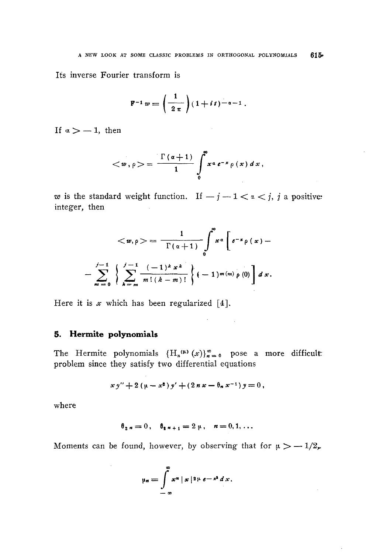$\bar{z}$ 

Its inverse Fourier transform is

$$
F^{-1} w = \left(\frac{1}{2 \pi}\right) (1 + it)^{-\alpha - 1}.
$$

If  $\alpha > -1$ , then

$$
\langle w, \rho \rangle = \frac{\Gamma(\alpha+1)}{1} \int_{0}^{\infty} x^{\alpha} e^{-x} \rho(x) dx,
$$

*w* is the standard weight function. If  $-j-1 < i < j$ , *j* a positiveinteger, then

$$
\langle w, \rho \rangle = \frac{1}{\Gamma(\alpha+1)} \int_{0}^{\infty} x^{\alpha} \left[ e^{-x} \rho(x) - \frac{1}{m} \sum_{k=m}^{m-1} \frac{(-1)^{k} x^{k}}{m! (k-m)!} \right] (-1)^{m(m)} \rho(0) dx.
$$

Here it is  $x$  which has been regularized [4].

## **5. Hermite polynomials**

 $\sim$ 

The Hermite polynomials  ${H_n^{(\mu)}(x)}_{n=0}^{\infty}$  pose a more difficult problem since they satisfy two differential equations

 $\mathcal{O}(10^{10} \, \mathrm{Mpc})$  .

$$
x y'' + 2 (\mu - x^2) y' + (2 n x - \theta_n x^{-1}) y = 0,
$$

where

$$
\theta_{2n} = 0
$$
,  $\theta_{2n+1} = 2 \mu$ ,  $n = 0, 1, ...$ 

Moments can be found, however, by observing that for  $\mu > -1/2$ ,

$$
\mu_n = \int_{-\infty}^{\infty} x^n \mid x \mid 2 \mu e^{-x^2} dx.
$$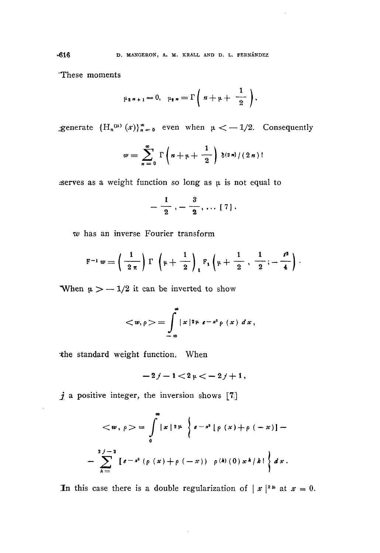'These moments

$$
\mu_{2\;n+1}=0,\quad \mu_{2\;n}=\Gamma\left(\;n+\mu+\;\frac{1}{2}\;\right),
$$

generate  ${H_n^{(\mu)}(\mathbf{x})}_{n=0}^{\infty}$  even when  $\mu < -1/2$ . Consequently

$$
w = \sum_{n=0}^{\infty} \Gamma\left(n + \mu + \frac{1}{2}\right) \delta^{(2n)}/(2n)!
$$

serves as a weight function so long as  $\mu$  is not equal to

$$
-\frac{1}{2}, -\frac{3}{2}, \ldots [7].
$$

*w* has an inverse Fourier transform

$$
F^{-1} w = \left(\frac{1}{2 \pi}\right) \Gamma \left(\mu + \frac{1}{2}\right)_{1} F_{1} \left(\mu + \frac{1}{2}, \frac{1}{2}; -\frac{t^{2}}{4}\right).
$$

When  $\mu > -1/2$  it can be inverted to show

$$
= \int_{-\infty}^{\infty} |x|^{2\mu} e^{-x^{3}} \rho(x) dx,
$$

-the standard weight function. When

$$
-2j-1<2\,\mu<-2\,j+1\,,
$$

*j* a positive integer, the inversion shows [7]

$$
\langle w, \rho \rangle = \int_{0}^{\infty} |x|^{2} \mu \left\{ e^{-x^{2}} [\rho(x) + \rho(-x)] - \frac{2j-2}{k} [e^{-x^{2}} (\rho(x) + \rho(-x))] \right\} dx.
$$

In this case there is a double regularization of  $|x|^{2\mu}$  at  $x=0$ .

 $\bar{\beta}$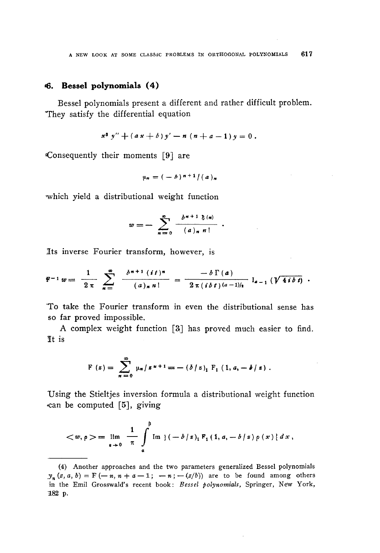# **<6. Bessel polynomials (4)**

Bessel polynomials present a different and rather difficult problem. They satisfy the differential equation

$$
x^2 y'' + (a x + b) y' - n (n + a - 1) y = 0.
$$

Consequently their moments [9] are

$$
\mu_n = (-b)^{n+1} / (a)_n
$$

-which yield a distributional weight function

$$
w=-\sum_{n=0}^{\infty}\frac{b^{n+1}\delta^{(n)}}{(a)_{n}n!}
$$

Its inverse Fourier transform, however, is

$$
F^{-1} w = \frac{1}{2 \pi} \sum_{n=1}^{\infty} \frac{b^{n+1} (it)^n}{(a)_n n!} = \frac{-b \Gamma(a)}{2 \pi (ibt) (a-1)/2} I_{a-1} (\sqrt{4ibt}) .
$$

"To take the Fourier transform in even the distributional sense has so far proved impossible.

A complex weight function [3] has proved much easier to find. It is

$$
F(z) = \sum_{n=0}^{\infty} \mu_n/z^{n+1} = -(\delta/z)_1 F_1(1, a, -\delta/z).
$$

Using the Stieltjes inversion formula a distributional weight function •can be computed [5], giving

$$
\langle w, \rho \rangle = \lim_{\epsilon \to 0} \frac{1}{\pi} \int_{a}^{b} \text{Im} \, \{ (-b/z)_1 F_1(1, a, -b/z) \rho(x) \} dx,
$$

<sup>(4)</sup> Another approaches and the two parameters generalized Bessel polynomials  $y_n(z, a, b) = F(-n, n + a - 1; -n; -(z/b))$  are to be found among others in the Emil Grosswald's recent book: Bessel polynomials, Springer, New York, 1182 p.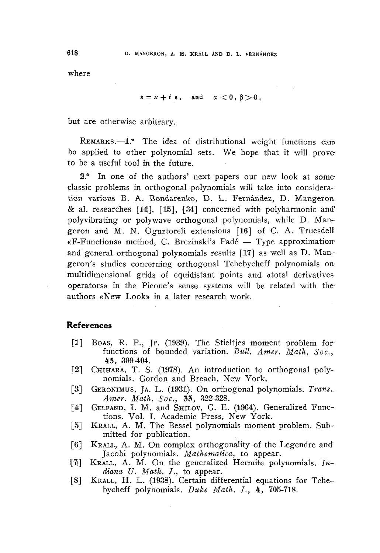where

$$
z = x + i \varepsilon, \quad \text{and} \quad a < 0, \beta > 0,
$$

but are otherwise arbitrary.

REMARKS.--1.º The idea of distributional weight functions can be applied to other polynomial sets. We hope that it 'will prove to be a useful tool in the future.

2.<sup>o</sup> In one of the authors' next papers our new look at someclassic problems in orthogonal polynomials will take into consideration various B. A. Bondarenko, D. L. Fernández, D. Mangeron & al. researches [14], [15], (34] concerned with polyharmonic and' poly vibra ting or polywave orthogonal polynomials, while D. Mangeron and M. N. Oguztoreli extensions [16'] of C. A. Truesdelí «F-Functions» method, C. Brezinski's Fade — Type approximation; and general orthogonal polynomials results [17] as well as D. Mangeron's studies concerning orthogonal Tchebycheff polynomials *onmultidimensional* grids of equidistant points and «total derivatives operators» in the Picone's sense systems will be related 'with theauthors «New Look» in a later research work.

## **References**

- [1] BOAS, R. P., Jr. (1939). The Stieltjes moment problem for functions of bounded variation. *Bull. Amer. Math. Soc.,* 45, 399-404.
- [2] CHIHARA, T. S. (1978). An introduction to orthogonal polynomials. Gordon and Breach, New York.
- [3] GERONIMUS, JA. L. (1931). On orthogonal polynomials. *Trans.. Amer. Math. Soc.,* 33, 322-328.
- [4] GELFAND, I. M. and SHILOV, G. E. (1964). Generalized Functions. Vol. I. Academic Press, New York.
- [5] KRALL, A. M. The Bessel polynomials moment problem. Submitted for publication.
- [6] KRALL, A. M. On complex orthogonality of the Legendre and' Jacobi polynomials. *Mathematica,* to appear.
- [7|] KRALL, A. M. On the generalized Hermite polynomials. *Indiana U. Math.* /., to appear.
- i[8] KRALL, H. L. (1938). Certain differential equations for Tchebycheff polynomials. *Duke Math.* /., 4, 705-718.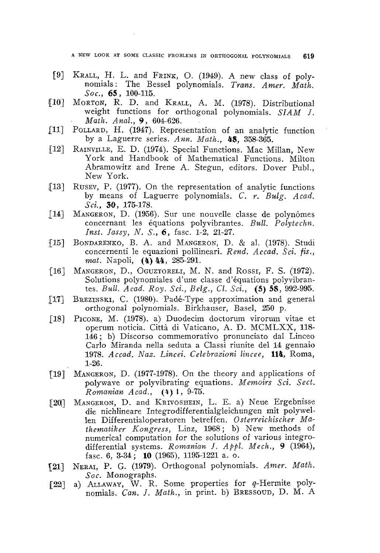A NEW LOOK AT SOME CLASSIC PROBLEMS IN ORTHOGONAL POLYNOMIALS 619

- £9] KRALL, H. L. and FRINK, O. (1949). A new class of polynomials: The Bessel polynomials. *Trans. Amer. Math. Soc., 65,* 100-115.
- {lo] MORTON, R. D. and KRALL, A. M. (1978). Distributional weight functions for orthogonal polynomials. *SIAM J. • Math. Anal., 9,* 604-626.
- £11] POLLARD, H. (1947). Representation of an analytic function by a Laguerre series. *Ann. Math.,* 48, 358-365.
- £12] RAINVILLE, E. D. (1974). Special Functions. Mac Millan, New York and Handbook of Mathematical Functions. Milton Abramowitz and Irene A. Stegun, editors. Dover Pubi., New York.
- £13] RUSEV, P. (1977). On the representation of analytic functions by means of Laguerre polynomials. *C. r. Bulg. Acad, Sci.,* 30, 175-178.
- £14] MANGERON, D. (1956). Sur une nouvelle classe de polynômes concernant les équations polyvibrantes. *Bull. Polytechn. Inst. Jassy, N. S., 6,* fase. 1-2, 21-27.
- £15] BONDARENKO, B. A. and MANGERON, D. & al. (1978). Studi concernenti le equazioni polilineari. *Rend. Accad. Sci. fis., mat.* Napoli, (4) 44, 285-291.
- [16] MANGERON, D., OGUZTORELI, M. N. and Rossi, F. S. (1972). Solutions polynomiales d'une classe d'équations polyvibrantes. *Bull. Acad. Roy. Sci., Belg., Cl. Sei., (S)* 58, 992-995.
- [17] BREZINSKI, C. (1980). Padé-Type approximation and general orthogonal polynomials. Birkhauser, Basel, 250 p.
- £18] PICONE, M. (1978). a) Duodecim doctorum virorum vitae et operum noticia. Città di Vaticano, A. D. MCMLXX, 118- 146 ; b) Discorso commemorativo pronunciato dal Linceo Carlo Miranda nella seduta a Classi riunite del 14 gennaio 1978. *Accad. Nas. Lincei. Celebrazioni lincee,* **114,** Roma, 1-26.
- £19] MANGERON, D. (1977-1978). On the theory and applications of polywave or polyvibrating equations. *Memoirs Sci. Sect. Romanian Acad., (k)* I, 9-75.
- [20] MANGERON, D. and KRIVOSHEIN, L. E. a) Neue Ergebnisse die nichlineare Integrodifferentialgleichungen mit polywellen Differentialoperatoren betreffen. *Österreichischer Mathematiker Kongress, Linz, 1968; b)* New methods of numerical computation for the solutions of various integrodifferential systems. *Romanian J. Appi. Mech., 9* (1964), fase. 6, 3-34; **10** (1965), 1195-1221 a. o.
- £21] NERAI, P. G. (1979). Orthogonal polynomials. *Amer. Math. Soc.* Monographs.
- [22] a) ALLAWAY, W. R. Some properties for g-Hermite polynomials. *Can. J. Math.,* in print, b) BRESSOUD, D. M. A